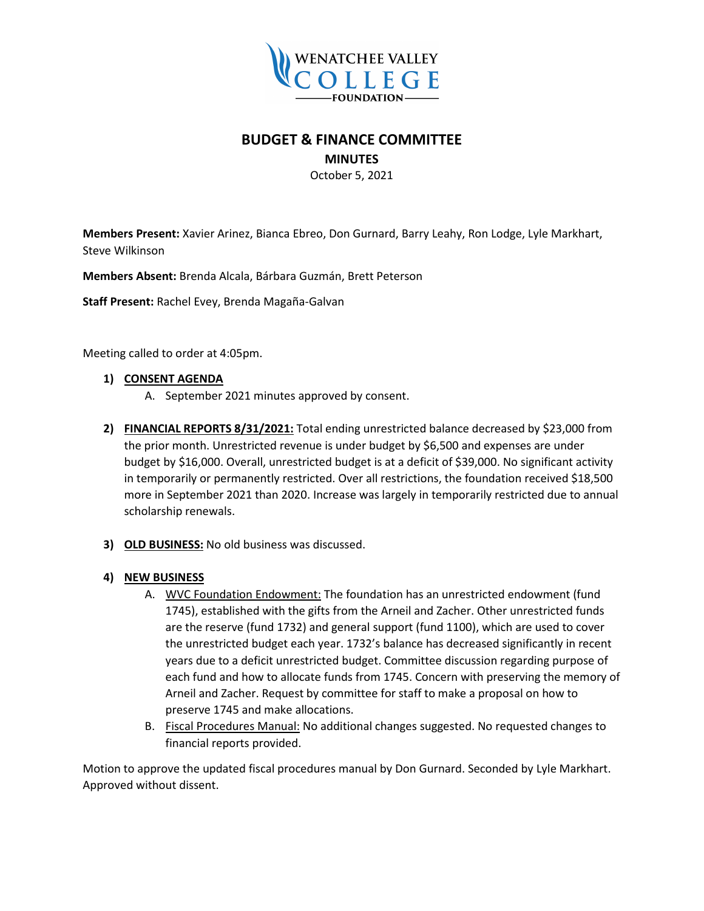

# **BUDGET & FINANCE COMMITTEE**

#### **MINUTES**

October 5, 2021

**Members Present:** Xavier Arinez, Bianca Ebreo, Don Gurnard, Barry Leahy, Ron Lodge, Lyle Markhart, Steve Wilkinson

**Members Absent:** Brenda Alcala, Bárbara Guzmán, Brett Peterson

**Staff Present:** Rachel Evey, Brenda Magaña-Galvan

Meeting called to order at 4:05pm.

#### **1) CONSENT AGENDA**

- A. September 2021 minutes approved by consent.
- **2) FINANCIAL REPORTS 8/31/2021:** Total ending unrestricted balance decreased by \$23,000 from the prior month. Unrestricted revenue is under budget by \$6,500 and expenses are under budget by \$16,000. Overall, unrestricted budget is at a deficit of \$39,000. No significant activity in temporarily or permanently restricted. Over all restrictions, the foundation received \$18,500 more in September 2021 than 2020. Increase was largely in temporarily restricted due to annual scholarship renewals.
- **3) OLD BUSINESS:** No old business was discussed.

### **4) NEW BUSINESS**

- A. WVC Foundation Endowment: The foundation has an unrestricted endowment (fund 1745), established with the gifts from the Arneil and Zacher. Other unrestricted funds are the reserve (fund 1732) and general support (fund 1100), which are used to cover the unrestricted budget each year. 1732's balance has decreased significantly in recent years due to a deficit unrestricted budget. Committee discussion regarding purpose of each fund and how to allocate funds from 1745. Concern with preserving the memory of Arneil and Zacher. Request by committee for staff to make a proposal on how to preserve 1745 and make allocations.
- B. Fiscal Procedures Manual: No additional changes suggested. No requested changes to financial reports provided.

Motion to approve the updated fiscal procedures manual by Don Gurnard. Seconded by Lyle Markhart. Approved without dissent.